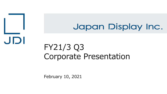#### Japan Display Inc.

#### FY21/3 Q3 Corporate Presentation

February 10, 2021

JDI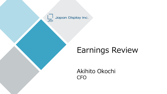Japan Display Inc. JDI

#### Earnings Review

Akihito Okochi CFO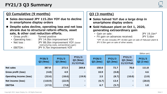#### **FY21/3 Q3 Summary**

#### **Q3 Cumulative (9 months)**

- Sales decreased JPY 115.2bn YOY due to decline **in smartphone display orders**
- Despite sales decline, operating loss and net loss **shrank due to structural reform effects, asset sale, & other cost reduction efforts.**
	- Gross profit: Turned positive
	- Operating loss: JPY 14.0bn improvement YOY

• Net loss: JPY 88.0bn improvement YOY (lower restructuring costs, extraordinary gain)

• EBITDA: JPY 9.7bn improvement YOY

#### **Q3 (3 months)**

- Sales halved YoY due a large drop in **smartphone display orders**
- Sold Hakusan plant on Oct 1, 2020, **generating extraordinary gain**
	- Gain on sale: JPY 19.1bn\*
	- FX gain on advances received: JPY 5.6bn
- -

\*JPY 19.1bn includes JPY 18.6bn gain on sale of Hakusan plant & JPY 0.5bn gain on sale of other assets.

|                                |                          |                          |                                            |                          |                          |                                           | (Billion yen)                       |
|--------------------------------|--------------------------|--------------------------|--------------------------------------------|--------------------------|--------------------------|-------------------------------------------|-------------------------------------|
|                                | <b>FY20/3</b><br>Q3(9mo) | <b>FY21/3</b><br>Q3(9mo) | <b>FY21/3</b><br>Q3 (9mo)<br>$11/13$ Fcst. | <b>FY20/3</b><br>Q3(3mo) | <b>FY21/3</b><br>Q3(3mo) | <b>FY21/3</b><br>Q3(3mo)<br>$11/13$ Fcst. | <b>FY21/3</b><br>$Q2(3 \text{ mo})$ |
| <b>Net sales</b>               | 387.8                    | 272.5                    | 269.8                                      | 150.0                    | 72.7                     | 70.0                                      | 111.8                               |
| Gross profit (loss)            | (4.8)                    | 4.9                      |                                            | 10.9                     | (0.8)                    | $\blacksquare$                            | 4.6                                 |
| <b>Operating income (loss)</b> | (32.6)                   | (18.6)                   | (19.9)                                     | 2.5                      | (8.7)                    | (10.0)                                    | (2.9)                               |
| Net income (loss)              | (110.9)                  | (22.9)                   |                                            | (6.7)                    | 13.4                     |                                           | (20.0)                              |
| <b>EBITDA</b>                  | (17.5)                   | (7.8)                    |                                            | 6.7                      | (5.7)                    | $\sim$                                    | 1.0                                 |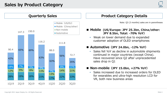



#### **Product Category Details**

Note: Q3 (3 months) sales are in parentheses

- **■ Mobile (US/Europe: JPY 25.3bn, China/other: JPY 8.5bn, Total: -70% YoY)**
	- Weak on lower demand due to expanded customer adoption of OLED smartphones

#### **■ Automotive(JPY 24.0bn, -12% YoY)**

• Sales fell YoY as decline in automobile shipments continued in major countries (except China). Have recovered since Q2 after unprecedented sales drop in Q1

#### **■ Non-mobile(JPY 15.0bn, +27% YoY)**

• Sales increased due to increased orders for OLED for wearables and ultra-high resolution LCD for VR, both new business areas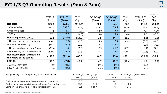#### **FY21/3 Q3 Operating Results (9mo & 3mo)**

|                                                                                  |                 |                        |                    |                    |                    |                    |                    | (Billion yen) |
|----------------------------------------------------------------------------------|-----------------|------------------------|--------------------|--------------------|--------------------|--------------------|--------------------|---------------|
|                                                                                  | FY20/3<br>(9mo) | <b>FY21/3</b><br>(9mo) | YoY<br>Chg         | FY20/3 Q3<br>(3mo) | FY21/3 Q3<br>(3mo) | YoY<br>Chg         | FY21/3 Q2<br>(3mo) | QoQ<br>Chg    |
| <b>Net sales</b>                                                                 | 387.8           | 272.5                  | (115.2)            | 150.0              | 72.7               | (77.3)             | 111.8              | (39.0)        |
| Cost of sales                                                                    | 392.5           | 267.6                  | (124.9)            | 139.1              | 73.5               | (65.6)             | 107.2              | (33.7)        |
| Gross profit (loss)                                                              | (4.8)           | 4.9                    | $+9.6$             | 10.9               | (0.8)              | (11.7)             | 4.6                | (5.4)         |
| SG&A                                                                             | 27.9            | 23.5                   | (4.3)              | 8.4                | 8.0                | (0.4)              | 7.5                | $+0.5$        |
| <b>Operating income (loss)</b>                                                   | (32.6)          | (18.6)                 | $+14.0$            | 2.5                | (8.7)              | (11.3)             | (2.9)              | (5.9)         |
| Net non-op. income (expenses)                                                    | (14.1)          | (7.3)                  | $+6.8$             | (5.9)              | (2.0)              | $+3.9$             | (3.5)              | $+1.5$        |
| Ordinary income (loss)                                                           | (46.7)          | (26.0)                 | $+20.8$            | (3.4)              | (10.8)             | (7.4)              | (6.4)              | (4.3)         |
| Net extraordinary income (loss)                                                  | (62.6)          | 3.9                    | $+66.5$            | (2.9)              | 24.2               | $+27.1$            | (13.1)             | $+37.3$       |
| Income (loss) before income taxes                                                | (109.3)         | (22.0)                 | $+87.3$            | (6.3)              | 13.4               | $+19.7$            | (19.5)             | $+32.9$       |
| Net income (loss) attributable<br>to owners of the parent                        | (110.9)         | (22.9)                 | $+88.0$            | (6.7)              | 13.4               | $+20.1$            | (20.0)             | $+33.4$       |
| <b>EBITDA</b>                                                                    | (17.5)          | (7.8)                  | $+9.7$             | 6.7                | (5.7)              | (12.4)             | 1.0                | (6.7)         |
| Avg. FX rate (JPY/USD)                                                           | 108.7           | 106.1                  |                    | 108.8              | 104.5              |                    | 106.2              |               |
| Q-End FX rate (JPY/USD)                                                          | 109.6           | 103.5                  |                    | 109.6              | 103.5              |                    | 105.8              |               |
| <major &="" changes="" extraordinary="" in="" items="" non-operating=""></major> |                 |                        | FY20/3 Q3<br>(9mo) | FY21/3 Q3<br>(9mo) | FY20/3 Q3<br>(3mo) | FY21/3 Q3<br>(3mo) | (Billion yen)      |               |
| Equity method investment loss (non-operating expense)                            |                 |                        | $-8.5$             |                    | $-4.3$             |                    |                    |               |
| Restructuring expenses & impairment losses (extraordinary loss)                  |                 |                        | $-62.2$            | $-21.4$            | $-2.5$             | $-0.7$             |                    |               |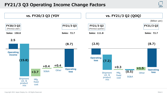#### **FY21/3 Q3 Operating Income Change Factors**



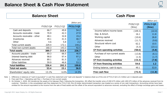#### **Balance Sheet & Cash Flow Statement**

| JD |  |
|----|--|

| <b>Balance Sheet</b> |  |
|----------------------|--|
|----------------------|--|

|                             |           |           | (Billion yen)    |
|-----------------------------|-----------|-----------|------------------|
|                             | FY20/3 Q4 | FY21/3 Q2 | <b>FY21/3 Q3</b> |
| Cash and deposits           | 66.7      | 49.8      | 54.2             |
| Accounts receivable - trade | 70.9      | 42.3      | 27.9             |
| Accounts receivable - other | 48.1      | 32.8      | 19.2             |
| Inventories                 | 39.1      | 41.5      | 40.7             |
| Other                       | 4.6       | 5.8       | 2.2              |
| Total current assets        | 229.4     | 172.1     | 144.2            |
| Total non-current assets    | 160.3     | 143.3     | 92.5             |
| <b>Total assets</b>         | 389.7     | 315.4     | 236.7            |
| Accounts payable - trade    | 89.3      | 66.5      | 46.9             |
| Interest-bearing debt       | 98.0      | 97.4      | 97.2             |
| Advances received           | 89.1      | 81.5      | 2.3              |
| Other liabilities           | 59.9      | 46.8      | 53.3             |
| <b>Total liabilities</b>    | 336.4     | 292.3     | 199.8            |
| <b>Total net assets</b>     | 53.4      | 23.1      | 36.9             |
| Shareholders' equity ratio  | 13.1%     | 6.6%      | 14.5%            |

| <b>Balance Sheet</b> |           |           | <b>Cash Flow</b> |                                |           |               |  |
|----------------------|-----------|-----------|------------------|--------------------------------|-----------|---------------|--|
|                      |           |           | (Billion yen)    |                                |           | (Billion yen) |  |
|                      | FY20/3 Q4 | FY21/3 Q2 | FY21/3 Q3        |                                | FY20/3 Q3 | FY21/3 Q3     |  |
|                      |           |           |                  |                                | (9mo)     | (9mo)         |  |
|                      | 66.7      | 49.8      | 54.2             | Income before income taxes     | (109.3)   | (22.0)        |  |
| : - trade            | 70.9      | 42.3      | 27.9             | Dep. & Amort.                  | 16.1      | 11.8          |  |
| : - other            | 48.1      | 32.8      | 19.2             | Working capital                | (10.6)    | 26.8          |  |
|                      | 39.1      | 41.5      | 40.7             | Advances received              | (11.7)    | (9.8)         |  |
|                      | 4.6       | 5.8       | 2.2              | Structural reform cost         | 62.2      | 10.5          |  |
|                      | 229.4     | 172.1     | 144.2            |                                |           |               |  |
| sets                 | 160.3     | 143.3     | 92.5             | Other                          | (5.3)     | (23.1)        |  |
|                      | 389.7     | 315.4     | 236.7            | CF from operating activities   | (58.6)    | (5.8)         |  |
| ade                  | 89.3      | 66.5      | 46.9             | Purchase of non-current assets | (13.8)    | (6.1)         |  |
|                      | 98.0      | 97.4      | 97.2             | Other                          | (1.5)     | (1.7)         |  |
|                      | 89.1      | 81.5      | 2.3              | CF from investing activities   | (15.3)    | (7.8)         |  |
|                      | 59.9      | 46.8      | 53.3             | CF from financing activities   | 54.6      | 1.2           |  |
|                      | 336.4     | 292.3     | 199.8            |                                |           |               |  |
|                      | 53.4      | 23.1      | 36.9             | Ending balance, cash & equiv.  | 49.1      | 53.9          |  |
| tio                  | 13.1%     | 6.6%      | 14.5%            | Free cash flow                 | (72.4)    | (11.8)        |  |

Note 1. Difference in balances of "cash & equivalent" in cash flow statement and "cash and deposits" in balance sheet as of the end of FY21/3 Q3 is 0.3 billion yen in deposits paid.

2. Free cash Flow = Operating cash flow + Purchase of non-current assets

3. On October 1, 2020, JDI transferred the assets of its Hakusan Plant. Following the transaction, JDI offset the transfer price of USD 675 million with USD 675 million of the advances received from its customer. Therefore, in the consolidated cash flow statement for FY21/3 Q3, this US dollar-denominated transaction was treated as a series of non-cash transactions. Accounting entries have been omitted for the amount equivalent to the income from the sale of fixed assets and the offset of the amount equivalent to advances received, excluding the effect of foreign exchange gains and losses.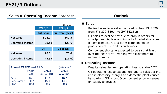#### **FY21/3 Outlook**



#### **Sales & Operating Income Forecast**

|                                             |                 |                          | (Billion yen)           | <b>Sales</b>                                                 |
|---------------------------------------------|-----------------|--------------------------|-------------------------|--------------------------------------------------------------|
|                                             |                 | <b>FY20/3</b>            | <b>FY21/3</b>           | • Revised sales foreca                                       |
|                                             |                 | <b>Full-year</b>         | <b>Full-year (Fcst)</b> | from JPY 330-350br                                           |
| <b>Net sales</b>                            |                 | 504.0                    | 342.5                   | • Q4 sales to decline<br>smartphone displays                 |
| <b>Operating income</b>                     |                 | (38.5)                   | (29.6)                  | of semiconductors a                                          |
|                                             |                 | Q4                       | Q4 (Fcst)               | production at JDI ar                                         |
| <b>Net sales</b><br><b>Operating income</b> |                 | 116.2                    | 70.0                    | • Component shortage<br>over the near-term.                  |
|                                             |                 | (5.9)                    | (11.0)                  | minimize impact                                              |
|                                             |                 |                          |                         | ■ Operating Income                                           |
| <b>Annual CAPEX and R&amp;D</b>             |                 |                          | (Billion yen)           | Despite sales decline                                        |
|                                             | FY20/3<br>(Act) | FY21/3<br>$(11/13$ Fcst) | FY21/3<br>$(2/10$ Fcst) | Q4 operating loss to<br>$\bullet$<br>rise in electricity cha |
| Capex<br>Dep.& amort                        | 16.1<br>20.7    | 11.5<br>15.0             | 10.0<br>14.8            | by soaring LNG price<br>on supply shortages                  |

| <b>Annual CAPEX and R&amp;D</b> | (Billion yen) |                |               |
|---------------------------------|---------------|----------------|---------------|
|                                 | FY20/3        | FY21/3         | FY21/3        |
|                                 | (Act)         | $(11/13$ Fcst) | $(2/10$ Fcst) |
| Capex                           | 16.1          | 11.5           | 10.0          |
| Dep.& amort                     | 20.7          | 15.0           | 14.8          |
| R&D                             | 10.3          | 8.6            | 8.6           |

#### **Outlook**

#### **■ Sales**

- Revised sales forecast announced on Nov 13, 2020 from JPY 330-350bn to JPY 342.5bn
- Q4 sales to decline YoY due to drop in orders for smartphone displays and impact of global shortages of semiconductors and other components on production at JDI and its customers
- Component shortage expected to persist, at least over the near-term. Working with customers to minimize impact

#### **■ Operating Income**

- Despite sales decline, operating loss to shrink YOY
- Q4 operating loss to expand YoY due to sales decline, rise in electricity charges at a domestic plant caused by soaring LNG prices, & component price increases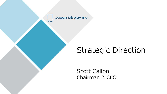Japan Display Inc. JDI

#### Strategic Direction

Scott Callon Chairman & CEO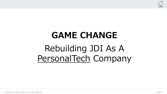

## **GAME CHANGE** Rebuilding JDI As A PersonalTech Company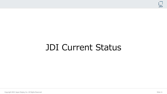

#### JDI Current Status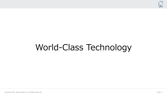

## World-Class Technology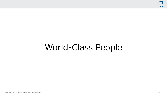

### World-Class People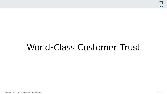

### World-Class Customer Trust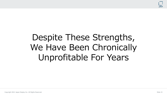

### Despite These Strengths, We Have Been Chronically Unprofitable For Years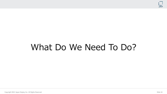

### What Do We Need To Do?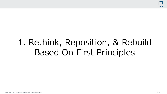

## 1. Rethink, Reposition, & Rebuild Based On First Principles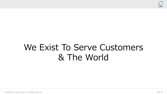

### We Exist To Serve Customers & The World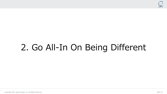

## 2. Go All-In On Being Different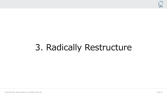

### 3. Radically Restructure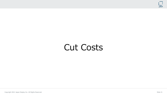

#### Cut Costs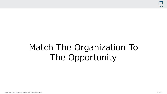

## Match The Organization To The Opportunity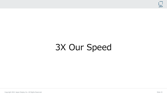

### 3X Our Speed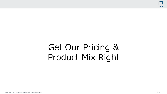

### Get Our Pricing & Product Mix Right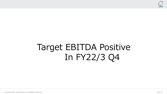

## Target EBITDA Positive In FY22/3 Q4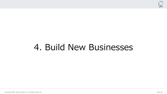

### 4. Build New Businesses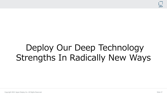

### Deploy Our Deep Technology Strengths In Radically New Ways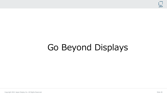

### Go Beyond Displays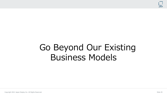

### Go Beyond Our Existing Business Models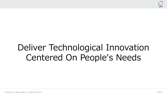

### Deliver Technological Innovation Centered On People's Needs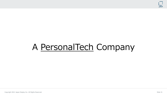

## A PersonalTech Company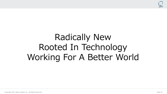

### Radically New Rooted In Technology Working For A Better World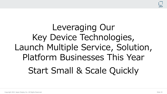

## Leveraging Our Key Device Technologies, Launch Multiple Service, Solution, Platform Businesses This Year Start Small & Scale Quickly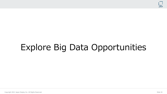

## Explore Big Data Opportunities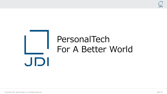

# PersonalTech For A Better WorldJDI